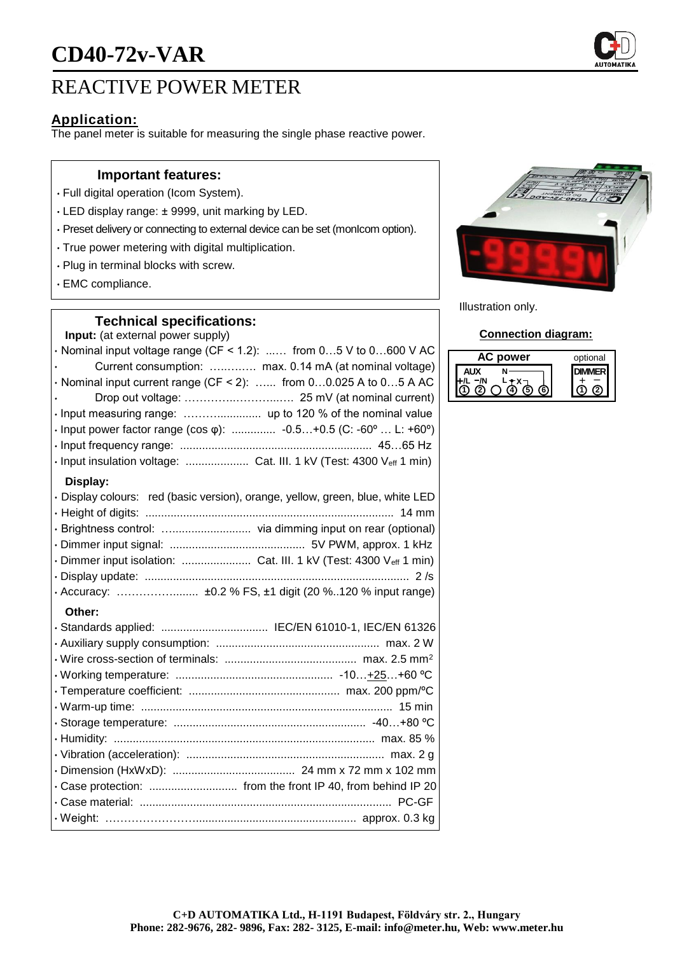# **CD40-72v-VAR**

## REACTIVE POWER METER

### **Application:**

The panel meter is suitable for measuring the single phase reactive power.

#### **Important features:**

- Full digital operation (Icom System).
- LED display range: ± 9999, unit marking by LED.
- Preset delivery or connecting to external device can be set (monIcom option).
- True power metering with digital multiplication.
- Plug in terminal blocks with screw.
- EMC compliance.

#### **Technical specifications:**

**Input:** (at external power supply)  $\cdot$  Nominal input voltage range (CF < 1.2): ...... from 0...5 V to 0...600 V AC • Current consumption: …..….…. max. 0.14 mA (at nominal voltage)  $\cdot$  Nominal input current range (CF < 2): ...... from 0...0.025 A to 0...5 A AC • Drop out voltage: …………..………...…. 25 mV (at nominal current) • Input measuring range: ……….............. up to 120 % of the nominal value • Input power factor range (cos φ): .............. -0.5…+0.5 (C: -60º … L: +60º) • Input frequency range: ............................................................. 45…65 Hz • Input insulation voltage: .................... Cat. III. 1 kV (Test: 4300 Veff 1 min) **Display:** • Display colours: red (basic version), orange, yellow, green, blue, white LED • Height of digits: ............................................................................... 14 mm • Brightness control: …......................... via dimming input on rear (optional) • Dimmer input signal: ........................................... 5V PWM, approx. 1 kHz • Dimmer input isolation: ........................... Cat. III. 1 kV (Test: 4300 Veff 1 min) • Display update: .................................................................................... 2 /s • Accuracy: ……………........ ±0.2 % FS, ±1 digit (20 %..120 % input range) **Other:** • Standards applied: .................................. IEC/EN 61010-1, IEC/EN 61326



Illustration only.

#### **Connection diagram:**